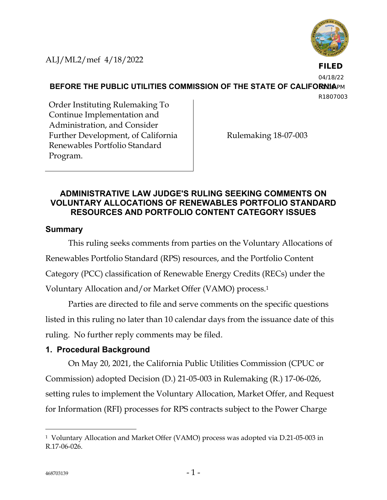

**FILED**

04/18/22

**BEFORE THE PUBLIC UTILITIES COMMISSION OF THE STATE OF CALIFORMIAPM** 

R1807003

Order Instituting Rulemaking To Continue Implementation and Administration, and Consider Further Development, of California Renewables Portfolio Standard Program.

Rulemaking 18-07-003

# **ADMINISTRATIVE LAW JUDGE'S RULING SEEKING COMMENTS ON VOLUNTARY ALLOCATIONS OF RENEWABLES PORTFOLIO STANDARD RESOURCES AND PORTFOLIO CONTENT CATEGORY ISSUES**

## **Summary**

This ruling seeks comments from parties on the Voluntary Allocations of

Renewables Portfolio Standard (RPS) resources, and the Portfolio Content

Category (PCC) classification of Renewable Energy Credits (RECs) under the

Voluntary Allocation and/or Market Offer (VAMO) process.<sup>1</sup>

Parties are directed to file and serve comments on the specific questions

listed in this ruling no later than 10 calendar days from the issuance date of this

ruling. No further reply comments may be filed.

# **1. Procedural Background**

On May 20, 2021, the California Public Utilities Commission (CPUC or Commission) adopted Decision (D.) 21-05-003 in Rulemaking (R.) 17-06-026, setting rules to implement the Voluntary Allocation, Market Offer, and Request for Information (RFI) processes for RPS contracts subject to the Power Charge

<sup>1</sup> Voluntary Allocation and Market Offer (VAMO) process was adopted via D.21-05-003 in R.17-06-026.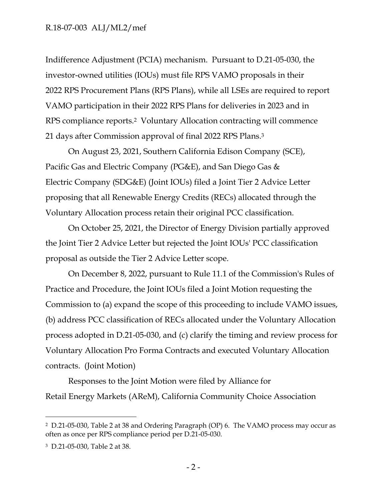#### R.18-07-003 ALJ/ML2/mef

Indifference Adjustment (PCIA) mechanism. Pursuant to D.21-05-030, the investor-owned utilities (IOUs) must file RPS VAMO proposals in their 2022 RPS Procurement Plans (RPS Plans), while all LSEs are required to report VAMO participation in their 2022 RPS Plans for deliveries in 2023 and in RPS compliance reports.2 Voluntary Allocation contracting will commence 21 days after Commission approval of final 2022 RPS Plans.<sup>3</sup>

On August 23, 2021, Southern California Edison Company (SCE), Pacific Gas and Electric Company (PG&E), and San Diego Gas & Electric Company (SDG&E) (Joint IOUs) filed a Joint Tier 2 Advice Letter proposing that all Renewable Energy Credits (RECs) allocated through the Voluntary Allocation process retain their original PCC classification.

On October 25, 2021, the Director of Energy Division partially approved the Joint Tier 2 Advice Letter but rejected the Joint IOUs' PCC classification proposal as outside the Tier 2 Advice Letter scope.

On December 8, 2022, pursuant to Rule 11.1 of the Commission's Rules of Practice and Procedure, the Joint IOUs filed a Joint Motion requesting the Commission to (a) expand the scope of this proceeding to include VAMO issues, (b) address PCC classification of RECs allocated under the Voluntary Allocation process adopted in D.21-05-030, and (c) clarify the timing and review process for Voluntary Allocation Pro Forma Contracts and executed Voluntary Allocation contracts. (Joint Motion)

Responses to the Joint Motion were filed by Alliance for Retail Energy Markets (AReM), California Community Choice Association

<sup>2</sup> D.21-05-030, Table 2 at 38 and Ordering Paragraph (OP) 6. The VAMO process may occur as often as once per RPS compliance period per D.21-05-030.

<sup>3</sup> D.21-05-030, Table 2 at 38.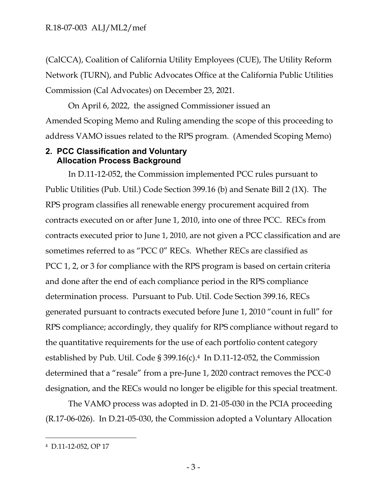(CalCCA), Coalition of California Utility Employees (CUE), The Utility Reform Network (TURN), and Public Advocates Office at the California Public Utilities Commission (Cal Advocates) on December 23, 2021.

On April 6, 2022, the assigned Commissioner issued an Amended Scoping Memo and Ruling amending the scope of this proceeding to address VAMO issues related to the RPS program. (Amended Scoping Memo)

#### **2. PCC Classification and Voluntary Allocation Process Background**

In [D.11-12-052,](http://docs.cpuc.ca.gov/WORD_PDF/FINAL_DECISION/156060.PDF) the Commission implemented PCC rules pursuant to Public Utilities (Pub. Util.) Code Section 399.16 (b) and Senate Bill 2 (1X). The RPS program classifies all renewable energy procurement acquired from contracts executed on or after June 1, 2010, into one of three PCC. RECs from contracts executed prior to June 1, 2010, are not given a PCC classification and are sometimes referred to as "PCC 0" RECs. Whether RECs are classified as PCC 1, 2, or 3 for compliance with the RPS program is based on certain criteria and done after the end of each compliance period in the RPS compliance determination process. Pursuant to Pub. Util. Code Section 399.16, RECs generated pursuant to contracts executed before June 1, 2010 "count in full" for RPS compliance; accordingly, they qualify for RPS compliance without regard to the quantitative requirements for the use of each portfolio content category established by Pub. Util. Code § 399.16(c). <sup>4</sup> In D.11-12-052, the Commission determined that a "resale" from a pre-June 1, 2020 contract removes the PCC-0 designation, and the RECs would no longer be eligible for this special treatment.

The VAMO process was adopted in D. 21-05-030 in the PCIA proceeding (R.17-06-026). In D.21-05-030, the Commission adopted a Voluntary Allocation

<sup>4</sup> D.11-12-052, OP 17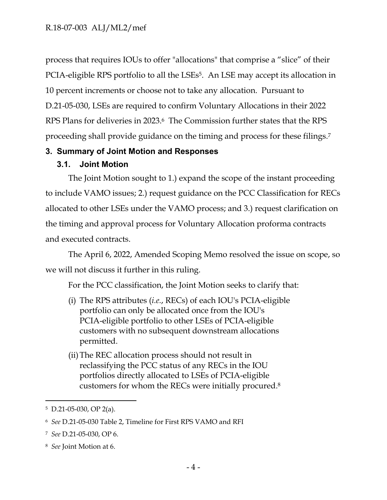process that requires IOUs to offer "allocations" that comprise a "slice" of their PCIA-eligible RPS portfolio to all the LSEs5. An LSE may accept its allocation in 10 percent increments or choose not to take any allocation. Pursuant to D.21-05-030, LSEs are required to confirm Voluntary Allocations in their 2022 RPS Plans for deliveries in 2023.<sup>6</sup> The Commission further states that the RPS proceeding shall provide guidance on the timing and process for these filings.<sup>7</sup>

## **3. Summary of Joint Motion and Responses**

## **3.1. Joint Motion**

The Joint Motion sought to 1.) expand the scope of the instant proceeding to include VAMO issues; 2.) request guidance on the PCC Classification for RECs allocated to other LSEs under the VAMO process; and 3.) request clarification on the timing and approval process for Voluntary Allocation proforma contracts and executed contracts.

The April 6, 2022, Amended Scoping Memo resolved the issue on scope, so we will not discuss it further in this ruling.

For the PCC classification, the Joint Motion seeks to clarify that:

- (i) The RPS attributes (*i.e.*, RECs) of each IOU's PCIA-eligible portfolio can only be allocated once from the IOU's PCIA-eligible portfolio to other LSEs of PCIA-eligible customers with no subsequent downstream allocations permitted.
- (ii)The REC allocation process should not result in reclassifying the PCC status of any RECs in the IOU portfolios directly allocated to LSEs of PCIA-eligible customers for whom the RECs were initially procured.<sup>8</sup>

<sup>5</sup> D.21-05-030, OP 2(a).

<sup>6</sup> *See* D.21-05-030 Table 2, Timeline for First RPS VAMO and RFI

<sup>7</sup> *See* D.21-05-030, OP 6.

<sup>8</sup> *See* Joint Motion at 6.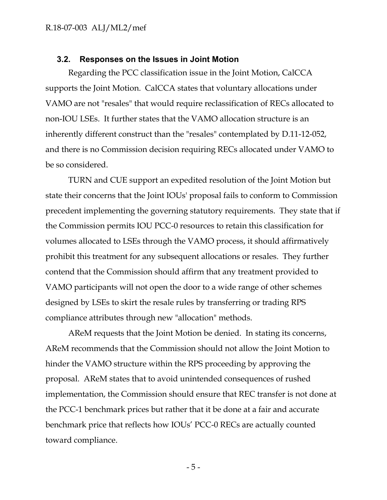#### **3.2. Responses on the Issues in Joint Motion**

Regarding the PCC classification issue in the Joint Motion, CalCCA supports the Joint Motion. CalCCA states that voluntary allocations under VAMO are not "resales" that would require reclassification of RECs allocated to non-IOU LSEs. It further states that the VAMO allocation structure is an inherently different construct than the "resales" contemplated by D.11-12-052, and there is no Commission decision requiring RECs allocated under VAMO to be so considered.

TURN and CUE support an expedited resolution of the Joint Motion but state their concerns that the Joint IOUs' proposal fails to conform to Commission precedent implementing the governing statutory requirements. They state that if the Commission permits IOU PCC-0 resources to retain this classification for volumes allocated to LSEs through the VAMO process, it should affirmatively prohibit this treatment for any subsequent allocations or resales. They further contend that the Commission should affirm that any treatment provided to VAMO participants will not open the door to a wide range of other schemes designed by LSEs to skirt the resale rules by transferring or trading RPS compliance attributes through new "allocation" methods.

AReM requests that the Joint Motion be denied. In stating its concerns, AReM recommends that the Commission should not allow the Joint Motion to hinder the VAMO structure within the RPS proceeding by approving the proposal. AReM states that to avoid unintended consequences of rushed implementation, the Commission should ensure that REC transfer is not done at the PCC-1 benchmark prices but rather that it be done at a fair and accurate benchmark price that reflects how IOUs' PCC-0 RECs are actually counted toward compliance.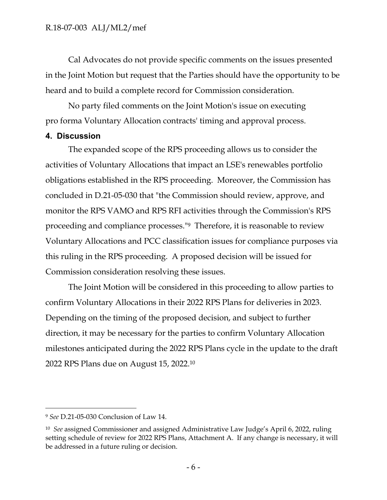Cal Advocates do not provide specific comments on the issues presented in the Joint Motion but request that the Parties should have the opportunity to be heard and to build a complete record for Commission consideration.

No party filed comments on the Joint Motion's issue on executing pro forma Voluntary Allocation contracts' timing and approval process.

#### **4. Discussion**

The expanded scope of the RPS proceeding allows us to consider the activities of Voluntary Allocations that impact an LSE's renewables portfolio obligations established in the RPS proceeding. Moreover, the Commission has concluded in D.21-05-030 that "the Commission should review, approve, and monitor the RPS VAMO and RPS RFI activities through the Commission's RPS proceeding and compliance processes."<sup>9</sup> Therefore, it is reasonable to review Voluntary Allocations and PCC classification issues for compliance purposes via this ruling in the RPS proceeding. A proposed decision will be issued for Commission consideration resolving these issues.

The Joint Motion will be considered in this proceeding to allow parties to confirm Voluntary Allocations in their 2022 RPS Plans for deliveries in 2023. Depending on the timing of the proposed decision, and subject to further direction, it may be necessary for the parties to confirm Voluntary Allocation milestones anticipated during the 2022 RPS Plans cycle in the update to the draft 2022 RPS Plans due on August 15, 2022.<sup>10</sup>

<sup>9</sup> *See* D.21-05-030 Conclusion of Law 14.

<sup>10</sup> *See* assigned Commissioner and assigned Administrative Law Judge's April 6, 2022, ruling setting schedule of review for 2022 RPS Plans, Attachment A. If any change is necessary, it will be addressed in a future ruling or decision.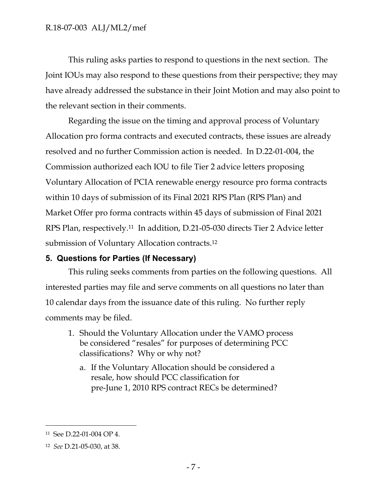This ruling asks parties to respond to questions in the next section. The Joint IOUs may also respond to these questions from their perspective; they may have already addressed the substance in their Joint Motion and may also point to the relevant section in their comments.

Regarding the issue on the timing and approval process of Voluntary Allocation pro forma contracts and executed contracts, these issues are already resolved and no further Commission action is needed. In D.22-01-004, the Commission authorized each IOU to file Tier 2 advice letters proposing Voluntary Allocation of PCIA renewable energy resource pro forma contracts within 10 days of submission of its Final 2021 RPS Plan (RPS Plan) and Market Offer pro forma contracts within 45 days of submission of Final 2021 RPS Plan, respectively.<sup>11</sup> In addition, D.21-05-030 directs Tier 2 Advice letter submission of Voluntary Allocation contracts.<sup>12</sup>

## **5. Questions for Parties (If Necessary)**

This ruling seeks comments from parties on the following questions. All interested parties may file and serve comments on all questions no later than 10 calendar days from the issuance date of this ruling. No further reply comments may be filed.

- 1. Should the Voluntary Allocation under the VAMO process be considered "resales" for purposes of determining PCC classifications? Why or why not?
	- a. If the Voluntary Allocation should be considered a resale, how should PCC classification for pre-June 1, 2010 RPS contract RECs be determined?

<sup>11</sup> See D.22-01-004 OP 4.

<sup>12</sup> *See* D.21-05-030, at 38.